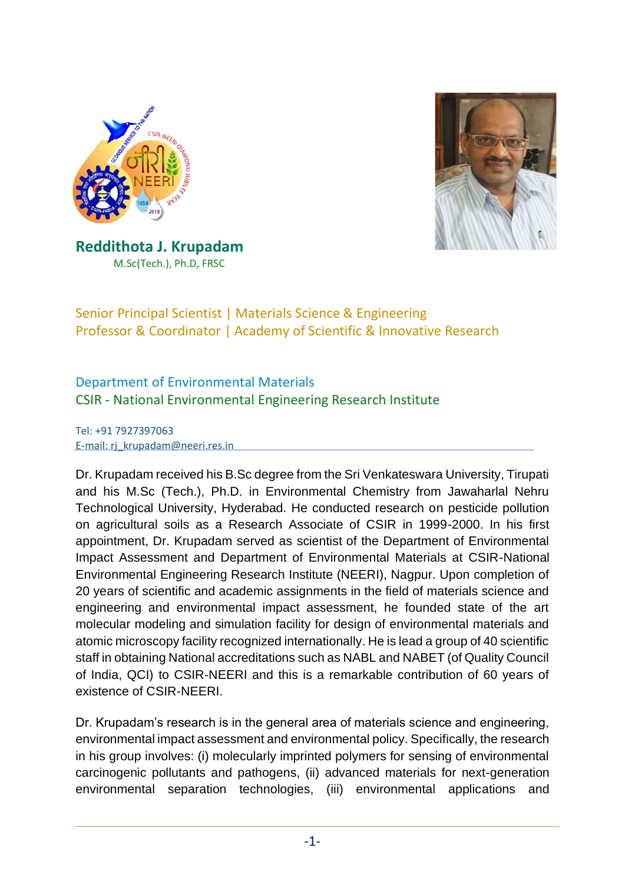



**Reddithota J. Krupadam**  M.Sc(Tech.), Ph.D, FRSC

Senior Principal Scientist | Materials Science & Engineering Professor & Coordinator | Academy of Scientific & Innovative Research

## Department of Environmental Materials CSIR - National Environmental Engineering Research Institute

Tel: +91 7927397063 E-mail: rj\_krupadam@neeri.res.in

Dr. Krupadam received his B.Sc degree from the Sri Venkateswara University, Tirupati and his M.Sc (Tech.), Ph.D. in Environmental Chemistry from Jawaharlal Nehru Technological University, Hyderabad. He conducted research on pesticide pollution on agricultural soils as a Research Associate of CSIR in 1999-2000. In his first appointment, Dr. Krupadam served as scientist of the Department of Environmental Impact Assessment and Department of Environmental Materials at CSIR-National Environmental Engineering Research Institute (NEERI), Nagpur. Upon completion of 20 years of scientific and academic assignments in the field of materials science and engineering and environmental impact assessment, he founded state of the art molecular modeling and simulation facility for design of environmental materials and atomic microscopy facility recognized internationally. He is lead a group of 40 scientific staff in obtaining National accreditations such as NABL and NABET (of Quality Council of India, QCI) to CSIR-NEERI and this is a remarkable contribution of 60 years of existence of CSIR-NEERI.

Dr. Krupadam's research is in the general area of materials science and engineering, environmental impact assessment and environmental policy. Specifically, the research in his group involves: (i) molecularly imprinted polymers for sensing of environmental carcinogenic pollutants and pathogens, (ii) advanced materials for next-generation environmental separation technologies, (iii) environmental applications and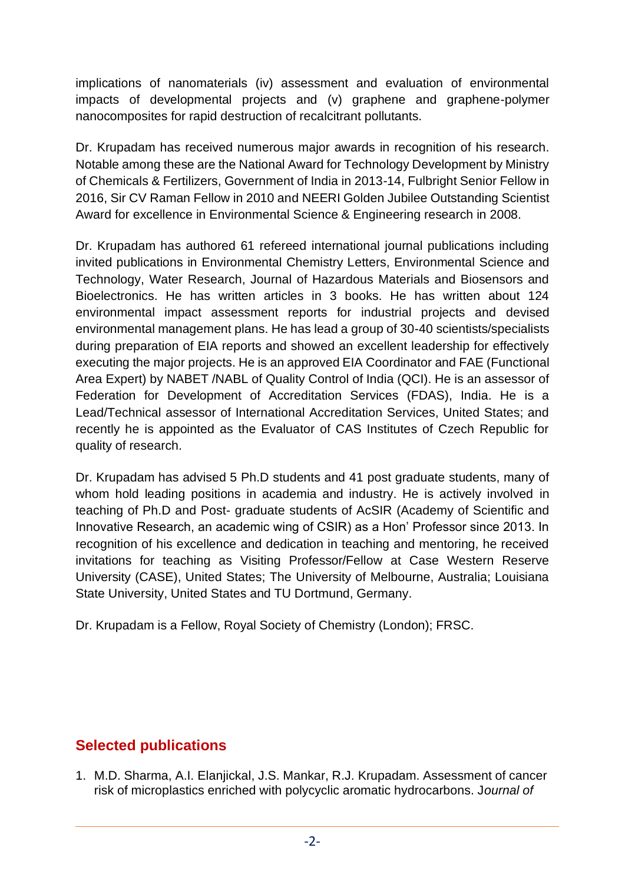implications of nanomaterials (iv) assessment and evaluation of environmental impacts of developmental projects and (v) graphene and graphene-polymer nanocomposites for rapid destruction of recalcitrant pollutants.

Dr. Krupadam has received numerous major awards in recognition of his research. Notable among these are the National Award for Technology Development by Ministry of Chemicals & Fertilizers, Government of India in 2013-14, Fulbright Senior Fellow in 2016, Sir CV Raman Fellow in 2010 and NEERI Golden Jubilee Outstanding Scientist Award for excellence in Environmental Science & Engineering research in 2008.

Dr. Krupadam has authored 61 refereed international journal publications including invited publications in Environmental Chemistry Letters, Environmental Science and Technology, Water Research, Journal of Hazardous Materials and Biosensors and Bioelectronics. He has written articles in 3 books. He has written about 124 environmental impact assessment reports for industrial projects and devised environmental management plans. He has lead a group of 30-40 scientists/specialists during preparation of EIA reports and showed an excellent leadership for effectively executing the major projects. He is an approved EIA Coordinator and FAE (Functional Area Expert) by NABET /NABL of Quality Control of India (QCI). He is an assessor of Federation for Development of Accreditation Services (FDAS), India. He is a Lead/Technical assessor of International Accreditation Services, United States; and recently he is appointed as the Evaluator of CAS Institutes of Czech Republic for quality of research.

Dr. Krupadam has advised 5 Ph.D students and 41 post graduate students, many of whom hold leading positions in academia and industry. He is actively involved in teaching of Ph.D and Post- graduate students of AcSIR (Academy of Scientific and Innovative Research, an academic wing of CSIR) as a Hon' Professor since 2013. In recognition of his excellence and dedication in teaching and mentoring, he received invitations for teaching as Visiting Professor/Fellow at Case Western Reserve University (CASE), United States; The University of Melbourne, Australia; Louisiana State University, United States and TU Dortmund, Germany.

Dr. Krupadam is a Fellow, Royal Society of Chemistry (London); FRSC.

## **Selected publications**

1. M.D. Sharma, A.I. Elanjickal, J.S. Mankar, R.J. Krupadam. Assessment of cancer risk of microplastics enriched with polycyclic aromatic hydrocarbons. J*ournal of*